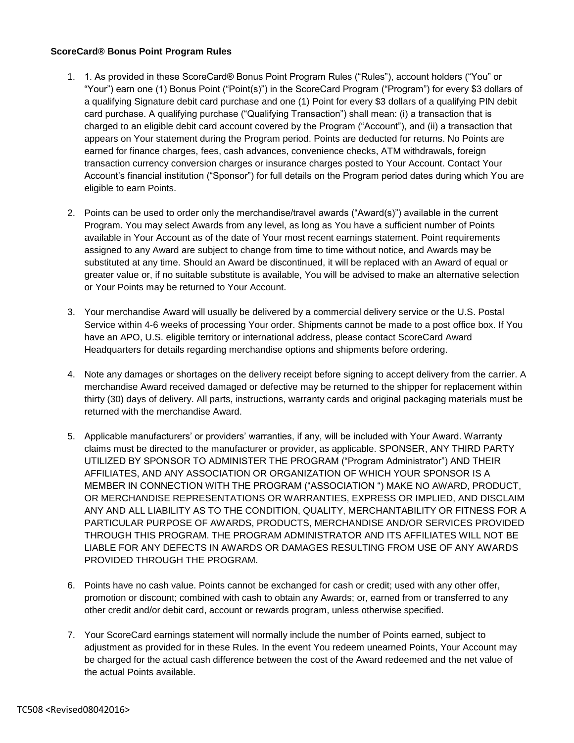## **ScoreCard® Bonus Point Program Rules**

- 1. 1. As provided in these ScoreCard® Bonus Point Program Rules ("Rules"), account holders ("You" or "Your") earn one (1) Bonus Point ("Point(s)") in the ScoreCard Program ("Program") for every \$3 dollars of a qualifying Signature debit card purchase and one (1) Point for every \$3 dollars of a qualifying PIN debit card purchase. A qualifying purchase ("Qualifying Transaction") shall mean: (i) a transaction that is charged to an eligible debit card account covered by the Program ("Account"), and (ii) a transaction that appears on Your statement during the Program period. Points are deducted for returns. No Points are earned for finance charges, fees, cash advances, convenience checks, ATM withdrawals, foreign transaction currency conversion charges or insurance charges posted to Your Account. Contact Your Account's financial institution ("Sponsor") for full details on the Program period dates during which You are eligible to earn Points.
- 2. Points can be used to order only the merchandise/travel awards ("Award(s)") available in the current Program. You may select Awards from any level, as long as You have a sufficient number of Points available in Your Account as of the date of Your most recent earnings statement. Point requirements assigned to any Award are subject to change from time to time without notice, and Awards may be substituted at any time. Should an Award be discontinued, it will be replaced with an Award of equal or greater value or, if no suitable substitute is available, You will be advised to make an alternative selection or Your Points may be returned to Your Account.
- 3. Your merchandise Award will usually be delivered by a commercial delivery service or the U.S. Postal Service within 4-6 weeks of processing Your order. Shipments cannot be made to a post office box. If You have an APO, U.S. eligible territory or international address, please contact ScoreCard Award Headquarters for details regarding merchandise options and shipments before ordering.
- 4. Note any damages or shortages on the delivery receipt before signing to accept delivery from the carrier. A merchandise Award received damaged or defective may be returned to the shipper for replacement within thirty (30) days of delivery. All parts, instructions, warranty cards and original packaging materials must be returned with the merchandise Award.
- 5. Applicable manufacturers' or providers' warranties, if any, will be included with Your Award. Warranty claims must be directed to the manufacturer or provider, as applicable. SPONSER, ANY THIRD PARTY UTILIZED BY SPONSOR TO ADMINISTER THE PROGRAM ("Program Administrator") AND THEIR AFFILIATES, AND ANY ASSOCIATION OR ORGANIZATION OF WHICH YOUR SPONSOR IS A MEMBER IN CONNECTION WITH THE PROGRAM ("ASSOCIATION ") MAKE NO AWARD, PRODUCT, OR MERCHANDISE REPRESENTATIONS OR WARRANTIES, EXPRESS OR IMPLIED, AND DISCLAIM ANY AND ALL LIABILITY AS TO THE CONDITION, QUALITY, MERCHANTABILITY OR FITNESS FOR A PARTICULAR PURPOSE OF AWARDS, PRODUCTS, MERCHANDISE AND/OR SERVICES PROVIDED THROUGH THIS PROGRAM. THE PROGRAM ADMINISTRATOR AND ITS AFFILIATES WILL NOT BE LIABLE FOR ANY DEFECTS IN AWARDS OR DAMAGES RESULTING FROM USE OF ANY AWARDS PROVIDED THROUGH THE PROGRAM.
- 6. Points have no cash value. Points cannot be exchanged for cash or credit; used with any other offer, promotion or discount; combined with cash to obtain any Awards; or, earned from or transferred to any other credit and/or debit card, account or rewards program, unless otherwise specified.
- 7. Your ScoreCard earnings statement will normally include the number of Points earned, subject to adjustment as provided for in these Rules. In the event You redeem unearned Points, Your Account may be charged for the actual cash difference between the cost of the Award redeemed and the net value of the actual Points available.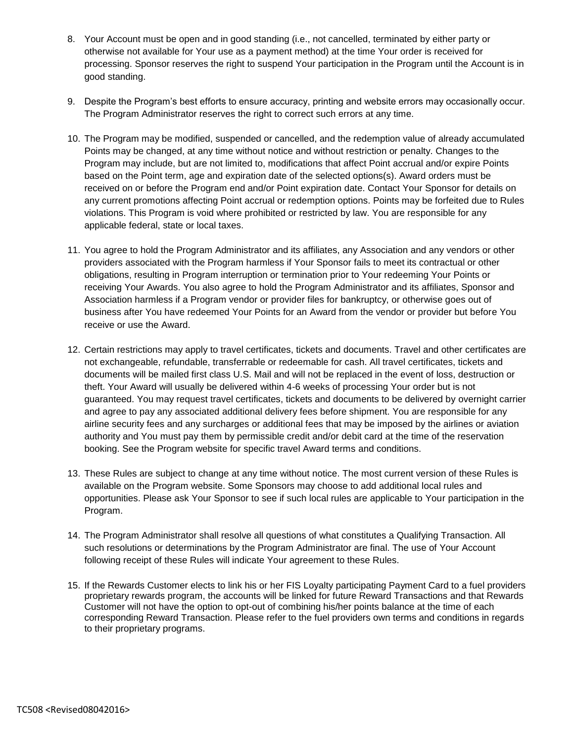- 8. Your Account must be open and in good standing (i.e., not cancelled, terminated by either party or otherwise not available for Your use as a payment method) at the time Your order is received for processing. Sponsor reserves the right to suspend Your participation in the Program until the Account is in good standing.
- 9. Despite the Program's best efforts to ensure accuracy, printing and website errors may occasionally occur. The Program Administrator reserves the right to correct such errors at any time.
- 10. The Program may be modified, suspended or cancelled, and the redemption value of already accumulated Points may be changed, at any time without notice and without restriction or penalty. Changes to the Program may include, but are not limited to, modifications that affect Point accrual and/or expire Points based on the Point term, age and expiration date of the selected options(s). Award orders must be received on or before the Program end and/or Point expiration date. Contact Your Sponsor for details on any current promotions affecting Point accrual or redemption options. Points may be forfeited due to Rules violations. This Program is void where prohibited or restricted by law. You are responsible for any applicable federal, state or local taxes.
- 11. You agree to hold the Program Administrator and its affiliates, any Association and any vendors or other providers associated with the Program harmless if Your Sponsor fails to meet its contractual or other obligations, resulting in Program interruption or termination prior to Your redeeming Your Points or receiving Your Awards. You also agree to hold the Program Administrator and its affiliates, Sponsor and Association harmless if a Program vendor or provider files for bankruptcy, or otherwise goes out of business after You have redeemed Your Points for an Award from the vendor or provider but before You receive or use the Award.
- 12. Certain restrictions may apply to travel certificates, tickets and documents. Travel and other certificates are not exchangeable, refundable, transferrable or redeemable for cash. All travel certificates, tickets and documents will be mailed first class U.S. Mail and will not be replaced in the event of loss, destruction or theft. Your Award will usually be delivered within 4-6 weeks of processing Your order but is not guaranteed. You may request travel certificates, tickets and documents to be delivered by overnight carrier and agree to pay any associated additional delivery fees before shipment. You are responsible for any airline security fees and any surcharges or additional fees that may be imposed by the airlines or aviation authority and You must pay them by permissible credit and/or debit card at the time of the reservation booking. See the Program website for specific travel Award terms and conditions.
- 13. These Rules are subject to change at any time without notice. The most current version of these Rules is available on the Program website. Some Sponsors may choose to add additional local rules and opportunities. Please ask Your Sponsor to see if such local rules are applicable to Your participation in the Program.
- 14. The Program Administrator shall resolve all questions of what constitutes a Qualifying Transaction. All such resolutions or determinations by the Program Administrator are final. The use of Your Account following receipt of these Rules will indicate Your agreement to these Rules.
- 15. If the Rewards Customer elects to link his or her FIS Loyalty participating Payment Card to a fuel providers proprietary rewards program, the accounts will be linked for future Reward Transactions and that Rewards Customer will not have the option to opt-out of combining his/her points balance at the time of each corresponding Reward Transaction. Please refer to the fuel providers own terms and conditions in regards to their proprietary programs.